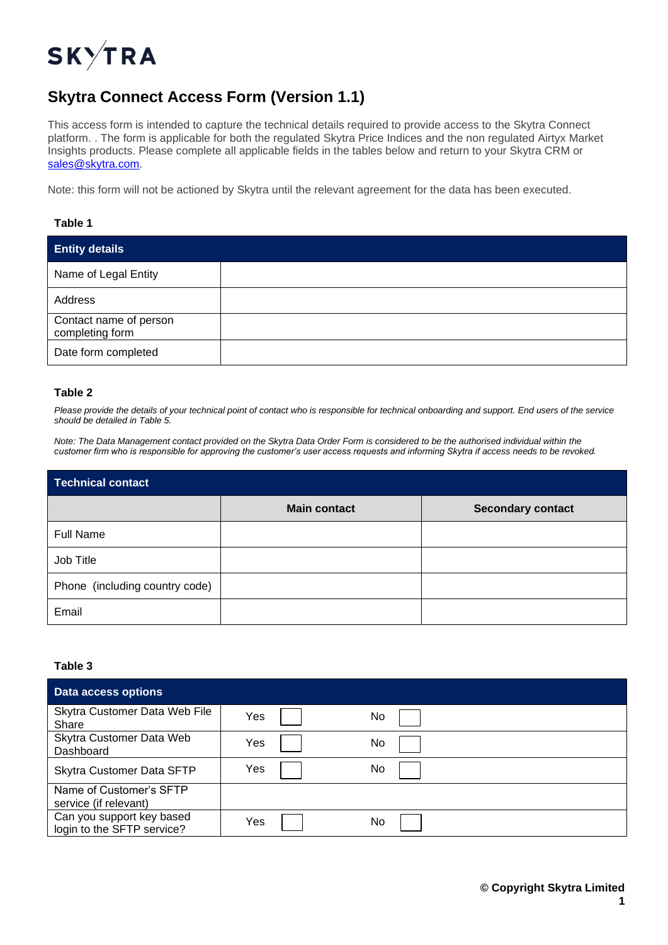

# **Skytra Connect Access Form (Version 1.1)**

This access form is intended to capture the technical details required to provide access to the Skytra Connect platform. . The form is applicable for both the regulated Skytra Price Indices and the non regulated Airtyx Market Insights products. Please complete all applicable fields in the tables below and return to your Skytra CRM or [sales@skytra.com.](mailto:sales@skytra.com)

Note: this form will not be actioned by Skytra until the relevant agreement for the data has been executed.

## **Table 1**

| <b>Entity details</b>                     |  |
|-------------------------------------------|--|
| Name of Legal Entity                      |  |
| Address                                   |  |
| Contact name of person<br>completing form |  |
| Date form completed                       |  |

## **Table 2**

*Please provide the details of your technical point of contact who is responsible for technical onboarding and support. End users of the service should be detailed in Table 5.*

*Note: The Data Management contact provided on the Skytra Data Order Form is considered to be the authorised individual within the customer firm who is responsible for approving the customer's user access requests and informing Skytra if access needs to be revoked.*

| <b>Technical contact</b>       |                     |                          |  |  |
|--------------------------------|---------------------|--------------------------|--|--|
|                                | <b>Main contact</b> | <b>Secondary contact</b> |  |  |
| <b>Full Name</b>               |                     |                          |  |  |
| Job Title                      |                     |                          |  |  |
| Phone (including country code) |                     |                          |  |  |
| Email                          |                     |                          |  |  |

### **Table 3**

| <b>Data access options</b>                              |     |     |  |
|---------------------------------------------------------|-----|-----|--|
| Skytra Customer Data Web File<br>Share                  | Yes | No. |  |
| Skytra Customer Data Web<br>Dashboard                   | Yes | No  |  |
| Skytra Customer Data SFTP                               | Yes | No  |  |
| Name of Customer's SFTP<br>service (if relevant)        |     |     |  |
| Can you support key based<br>login to the SFTP service? | Yes | No  |  |